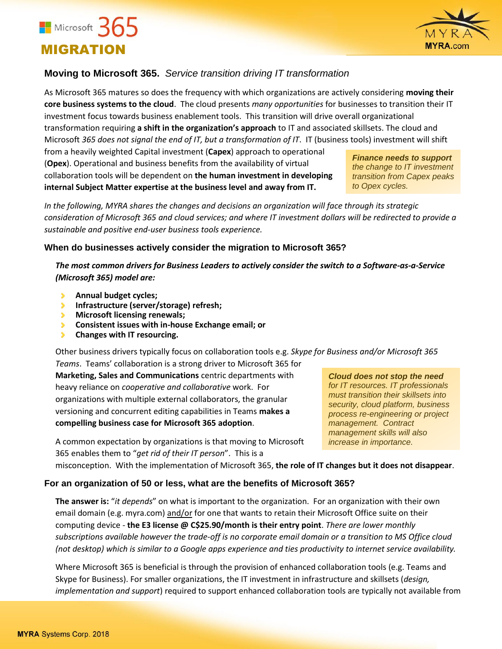### **Moving to Microsoft 365.** *Service transition driving IT transformation*

As Microsoft 365 matures so does the frequency with which organizations are actively considering **moving their core business systems to the cloud**. The cloud presents *many opportunities* for businesses to transition their IT investment focus towards business enablement tools. This transition will drive overall organizational transformation requiring **a shift in the organization's approach** to IT and associated skillsets. The cloud and Microsoft *365 does not signal the end of IT, but a transformation of IT*. IT (business tools) investment will shift

from a heavily weighted Capital investment (**Capex**) approach to operational (**Opex**). Operational and business benefits from the availability of virtual collaboration tools will be dependent on **the human investment in developing internal Subject Matter expertise at the business level and away from IT.**

*Finance needs to support the change to IT investment transition from Capex peaks to Opex cycles.*

*In the following, MYRA shares the changes and decisions an organization will face through its strategic consideration of Microsoft 365 and cloud services; and where IT investment dollars will be redirected to provide a sustainable and positive end-user business tools experience.* 

#### **When do businesses actively consider the migration to Microsoft 365?**

*The most common drivers for Business Leaders to actively consider the switch to a Software-as-a-Service (Microsoft 365) model are:*

- **Annual budget cycles;**
- **Infrastructure (server/storage) refresh;**
- **Microsoft licensing renewals;**
- **Consistent issues with in-house Exchange email; or**  $\mathbf{v}$
- **Changes with IT resourcing.** ×.

Other business drivers typically focus on collaboration tools e.g. *Skype for Business and/or Microsoft 365 Teams*. Teams' collaboration is a strong driver to Microsoft 365 for

**Marketing, Sales and Communications** centric departments with heavy reliance on *cooperative and collaborative* work. For organizations with multiple external collaborators, the granular versioning and concurrent editing capabilities in Teams **makes a compelling business case for Microsoft 365 adoption**.

*Cloud does not stop the need for IT resources. IT professionals must transition their skillsets into security, cloud platform, business process re-engineering or project management. Contract management skills will also increase in importance.*

A common expectation by organizations is that moving to Microsoft 365 enables them to "*get rid of their IT person*". This is a

misconception. With the implementation of Microsoft 365, **the role of IT changes but it does not disappear**.

#### **For an organization of 50 or less, what are the benefits of Microsoft 365?**

**The answer is:** "*it depends*" on what is important to the organization. For an organization with their own email domain (e.g. myra.com) and/or for one that wants to retain their Microsoft Office suite on their computing device - **the E3 license @ C\$25.90/month is their entry point**. *There are lower monthly subscriptions available however the trade-off is no corporate email domain or a transition to MS Office cloud (not desktop) which is similar to a Google apps experience and ties productivity to internet service availability.*

Where Microsoft 365 is beneficial is through the provision of enhanced collaboration tools (e.g. Teams and Skype for Business). For smaller organizations, the IT investment in infrastructure and skillsets (*design, implementation and support*) required to support enhanced collaboration tools are typically not available from

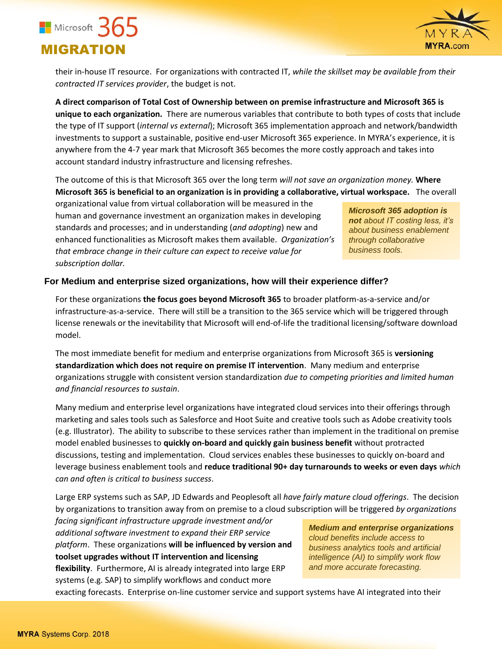

their in-house IT resource. For organizations with contracted IT, *while the skillset may be available from their contracted IT services provider*, the budget is not.

**A direct comparison of Total Cost of Ownership between on premise infrastructure and Microsoft 365 is unique to each organization.** There are numerous variables that contribute to both types of costs that include the type of IT support (*internal vs external*); Microsoft 365 implementation approach and network/bandwidth investments to support a sustainable, positive end-user Microsoft 365 experience. In MYRA's experience, it is anywhere from the 4-7 year mark that Microsoft 365 becomes the more costly approach and takes into account standard industry infrastructure and licensing refreshes.

The outcome of this is that Microsoft 365 over the long term *will not save an organization money.* **Where Microsoft 365 is beneficial to an organization is in providing a collaborative, virtual workspace.** The overall

organizational value from virtual collaboration will be measured in the human and governance investment an organization makes in developing standards and processes; and in understanding (*and adopting*) new and enhanced functionalities as Microsoft makes them available. *Organization's that embrace change in their culture can expect to receive value for subscription dollar.*

*Microsoft 365 adoption is not about IT costing less, it's about business enablement through collaborative business tools.*

#### **For Medium and enterprise sized organizations, how will their experience differ?**

For these organizations **the focus goes beyond Microsoft 365** to broader platform-as-a-service and/or infrastructure-as-a-service. There will still be a transition to the 365 service which will be triggered through license renewals or the inevitability that Microsoft will end-of-life the traditional licensing/software download model.

The most immediate benefit for medium and enterprise organizations from Microsoft 365 is **versioning standardization which does not require on premise IT intervention**. Many medium and enterprise organizations struggle with consistent version standardization *due to competing priorities and limited human and financial resources to sustain*.

Many medium and enterprise level organizations have integrated cloud services into their offerings through marketing and sales tools such as Salesforce and Hoot Suite and creative tools such as Adobe creativity tools (e.g. Illustrator). The ability to subscribe to these services rather than implement in the traditional on premise model enabled businesses to **quickly on-board and quickly gain business benefit** without protracted discussions, testing and implementation. Cloud services enables these businesses to quickly on-board and leverage business enablement tools and **reduce traditional 90+ day turnarounds to weeks or even days** *which can and often is critical to business success*.

Large ERP systems such as SAP, JD Edwards and Peoplesoft all *have fairly mature cloud offerings*. The decision by organizations to transition away from on premise to a cloud subscription will be triggered *by organizations* 

*facing significant infrastructure upgrade investment and/or additional software investment to expand their ERP service platform*. These organizations **will be influenced by version and toolset upgrades without IT intervention and licensing flexibility**. Furthermore, AI is already integrated into large ERP systems (e.g. SAP) to simplify workflows and conduct more

*Medium and enterprise organizations cloud benefits include access to business analytics tools and artificial intelligence (AI) to simplify work flow and more accurate forecasting.*

exacting forecasts. Enterprise on-line customer service and support systems have AI integrated into their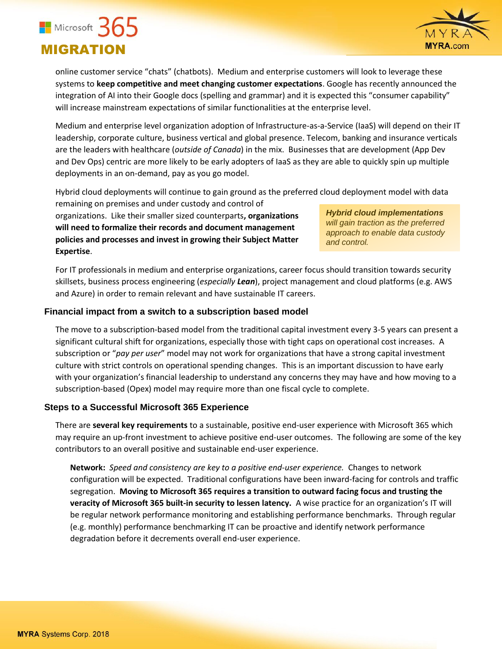

online customer service "chats" (chatbots). Medium and enterprise customers will look to leverage these systems to **keep competitive and meet changing customer expectations**. Google has recently announced the integration of AI into their Google docs (spelling and grammar) and it is expected this "consumer capability" will increase mainstream expectations of similar functionalities at the enterprise level.

Medium and enterprise level organization adoption of Infrastructure-as-a-Service (IaaS) will depend on their IT leadership, corporate culture, business vertical and global presence. Telecom, banking and insurance verticals are the leaders with healthcare (*outside of Canada*) in the mix. Businesses that are development (App Dev and Dev Ops) centric are more likely to be early adopters of IaaS as they are able to quickly spin up multiple deployments in an on-demand, pay as you go model.

Hybrid cloud deployments will continue to gain ground as the preferred cloud deployment model with data

remaining on premises and under custody and control of organizations. Like their smaller sized counterparts**, organizations will need to formalize their records and document management policies and processes and invest in growing their Subject Matter Expertise**.

*Hybrid cloud implementations will gain traction as the preferred approach to enable data custody and control.*

For IT professionals in medium and enterprise organizations, career focus should transition towards security skillsets, business process engineering (*especially Lean*), project management and cloud platforms (e.g. AWS and Azure) in order to remain relevant and have sustainable IT careers.

#### **Financial impact from a switch to a subscription based model**

The move to a subscription-based model from the traditional capital investment every 3-5 years can present a significant cultural shift for organizations, especially those with tight caps on operational cost increases. A subscription or "*pay per user*" model may not work for organizations that have a strong capital investment culture with strict controls on operational spending changes. This is an important discussion to have early with your organization's financial leadership to understand any concerns they may have and how moving to a subscription-based (Opex) model may require more than one fiscal cycle to complete.

#### **Steps to a Successful Microsoft 365 Experience**

There are **several key requirements** to a sustainable, positive end-user experience with Microsoft 365 which may require an up-front investment to achieve positive end-user outcomes. The following are some of the key contributors to an overall positive and sustainable end-user experience.

**Network:** *Speed and consistency are key to a positive end-user experience.* Changes to network configuration will be expected. Traditional configurations have been inward-facing for controls and traffic segregation. **Moving to Microsoft 365 requires a transition to outward facing focus and trusting the veracity of Microsoft 365 built-in security to lessen latency.** A wise practice for an organization's IT will be regular network performance monitoring and establishing performance benchmarks. Through regular (e.g. monthly) performance benchmarking IT can be proactive and identify network performance degradation before it decrements overall end-user experience.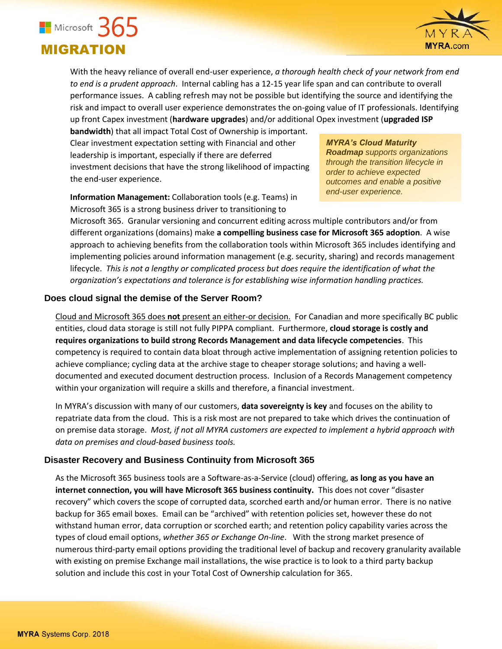With the heavy reliance of overall end-user experience, *a thorough health check of your network from end to end is a prudent approach*. Internal cabling has a 12-15 year life span and can contribute to overall performance issues. A cabling refresh may not be possible but identifying the source and identifying the risk and impact to overall user experience demonstrates the on-going value of IT professionals. Identifying up front Capex investment (**hardware upgrades**) and/or additional Opex investment (**upgraded ISP** 

**bandwidth**) that all impact Total Cost of Ownership is important. Clear investment expectation setting with Financial and other leadership is important, especially if there are deferred investment decisions that have the strong likelihood of impacting the end-user experience.

**Information Management:** Collaboration tools (e.g. Teams) in Microsoft 365 is a strong business driver to transitioning to

*MYRA's Cloud Maturity Roadmap supports organizations through the transition lifecycle in order to achieve expected outcomes and enable a positive end-user experience.*

Microsoft 365. Granular versioning and concurrent editing across multiple contributors and/or from different organizations (domains) make **a compelling business case for Microsoft 365 adoption**. A wise approach to achieving benefits from the collaboration tools within Microsoft 365 includes identifying and implementing policies around information management (e.g. security, sharing) and records management lifecycle. *This is not a lengthy or complicated process but does require the identification of what the organization's expectations and tolerance is for establishing wise information handling practices.*

#### **Does cloud signal the demise of the Server Room?**

Cloud and Microsoft 365 does **not** present an either-or decision. For Canadian and more specifically BC public entities, cloud data storage is still not fully PIPPA compliant. Furthermore, **cloud storage is costly and requires organizations to build strong Records Management and data lifecycle competencies**. This competency is required to contain data bloat through active implementation of assigning retention policies to achieve compliance; cycling data at the archive stage to cheaper storage solutions; and having a welldocumented and executed document destruction process. Inclusion of a Records Management competency within your organization will require a skills and therefore, a financial investment.

In MYRA's discussion with many of our customers, **data sovereignty is key** and focuses on the ability to repatriate data from the cloud. This is a risk most are not prepared to take which drives the continuation of on premise data storage. *Most, if not all MYRA customers are expected to implement a hybrid approach with data on premises and cloud-based business tools.*

#### **Disaster Recovery and Business Continuity from Microsoft 365**

As the Microsoft 365 business tools are a Software-as-a-Service (cloud) offering, **as long as you have an internet connection, you will have Microsoft 365 business continuity.** This does not cover "disaster recovery" which covers the scope of corrupted data, scorched earth and/or human error. There is no native backup for 365 email boxes. Email can be "archived" with retention policies set, however these do not withstand human error, data corruption or scorched earth; and retention policy capability varies across the types of cloud email options, *whether 365 or Exchange On-line*. With the strong market presence of numerous third-party email options providing the traditional level of backup and recovery granularity available with existing on premise Exchange mail installations, the wise practice is to look to a third party backup solution and include this cost in your Total Cost of Ownership calculation for 365.